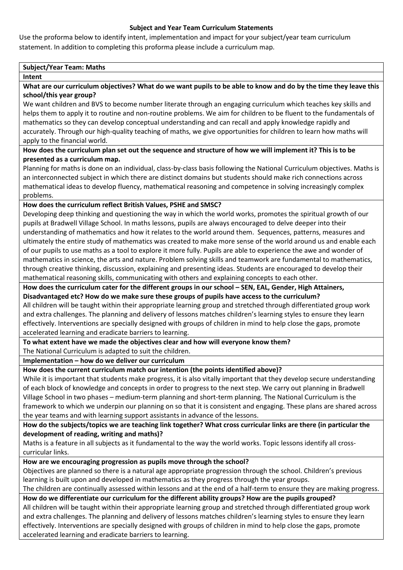## **Subject and Year Team Curriculum Statements**

Use the proforma below to identify intent, implementation and impact for your subject/year team curriculum statement. In addition to completing this proforma please include a curriculum map.

## **Subject/Year Team: Maths**

#### **Intent**

**What are our curriculum objectives? What do we want pupils to be able to know and do by the time they leave this school/this year group?**

We want children and BVS to become number literate through an engaging curriculum which teaches key skills and helps them to apply it to routine and non-routine problems. We aim for children to be fluent to the fundamentals of mathematics so they can develop conceptual understanding and can recall and apply knowledge rapidly and accurately. Through our high-quality teaching of maths, we give opportunities for children to learn how maths will apply to the financial world.

## **How does the curriculum plan set out the sequence and structure of how we will implement it? This is to be presented as a curriculum map.**

Planning for maths is done on an individual, class-by-class basis following the National Curriculum objectives. Maths is an interconnected subject in which there are distinct domains but students should make rich connections across mathematical ideas to develop fluency, mathematical reasoning and competence in solving increasingly complex problems.

## **How does the curriculum reflect British Values, PSHE and SMSC?**

Developing deep thinking and questioning the way in which the world works, promotes the spiritual growth of our pupils at Bradwell Village School. In maths lessons, pupils are always encouraged to delve deeper into their understanding of mathematics and how it relates to the world around them. Sequences, patterns, measures and ultimately the entire study of mathematics was created to make more sense of the world around us and enable each of our pupils to use maths as a tool to explore it more fully. Pupils are able to experience the awe and wonder of mathematics in science, the arts and nature. Problem solving skills and teamwork are fundamental to mathematics, through creative thinking, discussion, explaining and presenting ideas. Students are encouraged to develop their mathematical reasoning skills, communicating with others and explaining concepts to each other.

#### How does the curriculum cater for the different groups in our school – SEN, EAL, Gender, High Attainers, **Disadvantaged etc? How do we make sure these groups of pupils have access to the curriculum?**

All children will be taught within their appropriate learning group and stretched through differentiated group work and extra challenges. The planning and delivery of lessons matches children's learning styles to ensure they learn effectively. Interventions are specially designed with groups of children in mind to help close the gaps, promote accelerated learning and eradicate barriers to learning.

**To what extent have we made the objectives clear and how will everyone know them?**

The National Curriculum is adapted to suit the children.

**Implementation – how do we deliver our curriculum**

## **How does the current curriculum match our intention (the points identified above)?**

While it is important that students make progress, it is also vitally important that they develop secure understanding of each block of knowledge and concepts in order to progress to the next step. We carry out planning in Bradwell Village School in two phases – medium-term planning and short-term planning. The National Curriculum is the framework to which we underpin our planning on so that it is consistent and engaging. These plans are shared across the year teams and with learning support assistants in advance of the lessons.

# **How do the subjects/topics we are teaching link together? What cross curricular links are there (in particular the development of reading, writing and maths)?**

Maths is a feature in all subjects as it fundamental to the way the world works. Topic lessons identify all crosscurricular links.

## **How are we encouraging progression as pupils move through the school?**

Objectives are planned so there is a natural age appropriate progression through the school. Children's previous learning is built upon and developed in mathematics as they progress through the year groups.

The children are continually assessed within lessons and at the end of a half-term to ensure they are making progress. **How do we differentiate our curriculum for the different ability groups? How are the pupils grouped?**

All children will be taught within their appropriate learning group and stretched through differentiated group work and extra challenges. The planning and delivery of lessons matches children's learning styles to ensure they learn effectively. Interventions are specially designed with groups of children in mind to help close the gaps, promote accelerated learning and eradicate barriers to learning.